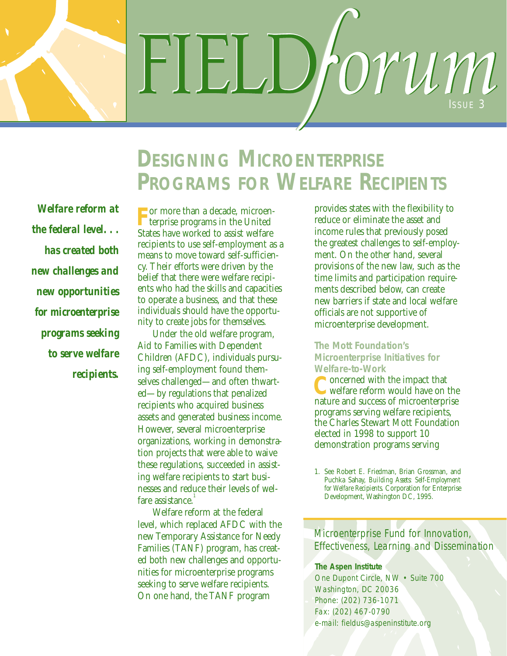FIELL rorum ISSUE 3

# *Welfare reform at the federal level. . . has created both new challenges and new opportunities for microenterprise programs seeking to serve welfare recipients.*

# **DESIGNING MICROENTERPRISE PROGRAMS FOR WELFARE RECIPIENTS**

**F** or more than a decade, microen-terprise programs in the United States have worked to assist welfare recipients to use self-employment as a means to move toward self-sufficiency. Their efforts were driven by the belief that there were welfare recipients who had the skills and capacities to operate a business, and that these individuals should have the opportunity to create jobs for themselves.

Under the old welfare program, Aid to Families with Dependent Children (AFDC), individuals pursuing self-employment found themselves challenged—and often thwarted—by regulations that penalized recipients who acquired business assets and generated business income. However, several microenterprise organizations, working in demonstration projects that were able to waive these regulations, succeeded in assisting welfare recipients to start businesses and reduce their levels of welfare assistance.<sup>1</sup>

Welfare reform at the federal level, which replaced AFDC with the new Temporary Assistance for Needy Families (TANF) program, has created both new challenges and opportunities for microenterprise programs seeking to serve welfare recipients. On one hand, the TANF program

provides states with the flexibility to reduce or eliminate the asset and income rules that previously posed the greatest challenges to self-employment. On the other hand, several provisions of the new law, such as the time limits and participation requirements described below, can create new barriers if state and local welfare officials are not supportive of microenterprise development.

# **The Mott Foundation's Microenterprise Initiatives for** Welfare-to-Work<br>**C** oncerned with the impact that

**C**oncerned with the impact that welfare reform would have on the nature and success of microenterprise programs serving welfare recipients, the Charles Stewart Mott Foundation elected in 1998 to support 10 demonstration programs serving

*Microenterprise Fund for Innovation, Effectiveness, Learning and Dissemination*

#### **The Aspen Institute**

One Dupont Circle, NW • Suite 700 Washington, DC 20036 Phone: (202) 736-1071 Fax: (202) 467-0790 e-mail: fieldus@aspeninstitute.org

<sup>1.</sup> See Robert E. Friedman, Brian Grossman, and Puchka Sahay, *Building Assets: Self-Employment for Welfare Recipients*. Corporation for Enterprise Development, Washington DC, 1995.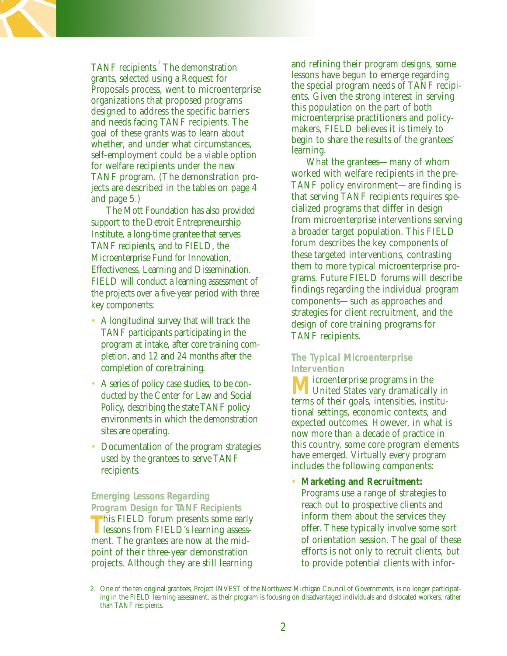TANF recipients.<sup>2</sup> The demonstration grants, selected using a Request for Proposals process, went to microenterprise organizations that proposed programs designed to address the specific barriers and needs facing TANF recipients. The goal of these grants was to learn about whether, and under what circumstances, self-employment could be a viable option for welfare recipients under the new TANF program. (The demonstration projects are described in the tables on page 4 and page 5.)

The Mott Foundation has also provided support to the Detroit Entrepreneurship Institute, a long-time grantee that serves TANF recipients, and to FIELD, the Microenterprise Fund for Innovation, Effectiveness, Learning and Dissemination. FIELD will conduct a learning assessment of the projects over a five-year period with three key components:

- A longitudinal survey that will track the TANF participants participating in the program at intake, after core training completion, and 12 and 24 months after the completion of core training.
- A series of policy case studies, to be conducted by the Center for Law and Social Policy, describing the state TANF policy environments in which the demonstration sites are operating.
- Documentation of the program strategies used by the grantees to serve TANF recipients.

**Emerging Lessons Regarding Program Design for TANF Recipients**

This FIELD forum presents some early lessons from FIELD's learning assessment. The grantees are now at the midpoint of their three-year demonstration projects. Although they are still learning

and refining their program designs, some lessons have begun to emerge regarding the special program needs of TANF recipients. Given the strong interest in serving this population on the part of both microenterprise practitioners and policymakers, FIELD believes it is timely to begin to share the results of the grantees' learning.

What the grantees—many of whom worked with welfare recipients in the pre-TANF policy environment—are finding is that serving TANF recipients requires specialized programs that differ in design from microenterprise interventions serving a broader target population. This FIELD forum describes the key components of these targeted interventions, contrasting them to more typical microenterprise programs. Future FIELD forums will describe findings regarding the individual program components—such as approaches and strategies for client recruitment, and the design of core training programs for TANF recipients.

### **The Typical Microenterprise Intervention**

**M** United States vary dramatically in terms of their goals, intensities, institutional settings, economic contexts, and expected outcomes. However, in what is now more than a decade of practice in this country, some core program elements have emerged. Virtually every program includes the following components:

• **Marketing and Recruitment:**

Programs use a range of strategies to reach out to prospective clients and inform them about the services they offer. These typically involve some sort of orientation session. The goal of these efforts is not only to recruit clients, but to provide potential clients with infor-

<sup>2.</sup> One of the ten original grantees, Project INVEST of the Northwest Michigan Council of Governments, is no longer participating in the FIELD learning assessment, as their program is focusing on disadvantaged individuals and dislocated workers, rather than TANF recipients.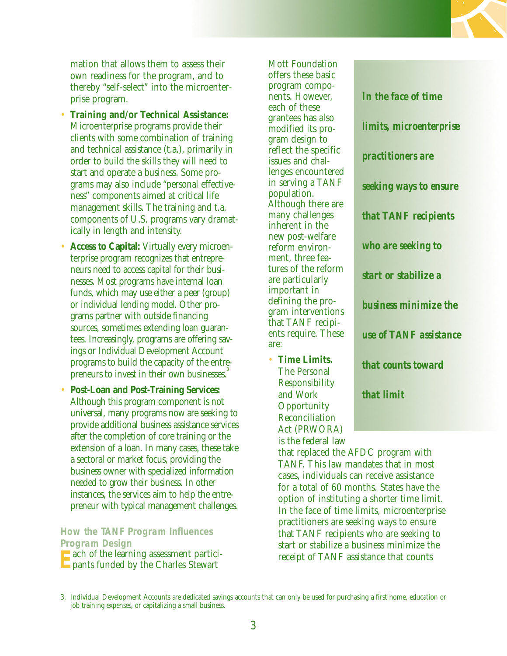mation that allows them to assess their own readiness for the program, and to thereby "self-select" into the microenterprise program.

- **Training and/or Technical Assistance:** Microenterprise programs provide their clients with some combination of training and technical assistance (t.a.), primarily in order to build the skills they will need to start and operate a business. Some programs may also include "personal effectiveness" components aimed at critical life management skills. The training and t.a. components of U.S. programs vary dramatically in length and intensity.
- **Access to Capital:** Virtually every microenterprise program recognizes that entrepreneurs need to access capital for their businesses. Most programs have internal loan funds, which may use either a peer (group) or individual lending model. Other programs partner with outside financing sources, sometimes extending loan guarantees. Increasingly, programs are offering savings or Individual Development Account programs to build the capacity of the entrepreneurs to invest in their own businesses.
- **Post-Loan and Post-Training Services:** Although this program component is not universal, many programs now are seeking to provide additional business assistance services after the completion of core training or the extension of a loan. In many cases, these take a sectoral or market focus, providing the business owner with specialized information needed to grow their business. In other instances, the services aim to help the entrepreneur with typical management challenges.

**How the TANF Program Influences Program Design**

**E**ach of the learning assessment partici-**E** pants funded by the Charles Stewart

offers these basic program components. However, each of these grantees has also modified its program design to reflect the specific issues and challenges encountered in serving a TANF population. Although there are many challenges inherent in the new post-welfare reform environment, three features of the reform are particularly important in defining the program interventions that TANF recipients require. These are:

Mott Foundation

• **Time Limits.** The Personal Responsibility and Work **Opportunity** Reconciliation Act (PRWORA) is the federal law

*In the face of time limits, microenterprise practitioners are seeking ways to ensure that TANF recipients who are seeking to start or stabilize a business minimize the use of TANF assistance that counts toward that limit*

that replaced the AFDC program with TANF. This law mandates that in most cases, individuals can receive assistance for a total of 60 months. States have the option of instituting a shorter time limit. In the face of time limits, microenterprise practitioners are seeking ways to ensure that TANF recipients who are seeking to start or stabilize a business minimize the receipt of TANF assistance that counts

<sup>3.</sup> Individual Development Accounts are dedicated savings accounts that can only be used for purchasing a first home, education or job training expenses, or capitalizing a small business.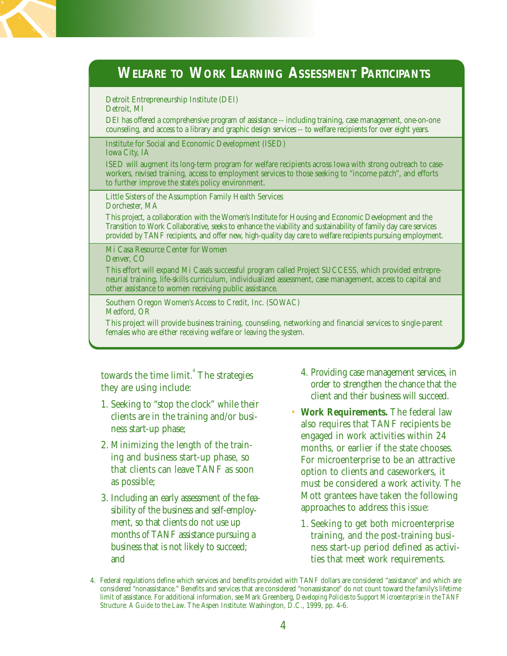

Detroit Entrepreneurship Institute (DEI) Detroit, MI

DEI has offered a comprehensive program of assistance -- including training, case management, one-on-one counseling, and access to a library and graphic design services -- to welfare recipients for over eight years.

Institute for Social and Economic Development (ISED) Iowa City, IA

ISED will augment its long-term program for welfare recipients across Iowa with strong outreach to caseworkers, revised training, access to employment services to those seeking to "income patch", and efforts to further improve the state's policy environment.

Little Sisters of the Assumption Family Health Services Dorchester, MA

This project, a collaboration with the Women's Institute for Housing and Economic Development and the Transition to Work Collaborative, seeks to enhance the viability and sustainability of family day care services provided by TANF recipients, and offer new, high-quality day care to welfare recipients pursuing employment.

Mi Casa Resource Center for Women Denver, CO

This effort will expand Mi Casa's successful program called Project SUCCESS, which provided entrepreneurial training, life-skills curriculum, individualized assessment, case management, access to capital and other assistance to women receiving public assistance.

Southern Oregon Women's Access to Credit, Inc. (SOWAC) Medford, OR

This project will provide business training, counseling, networking and financial services to single-parent females who are either receiving welfare or leaving the system.

towards the time limit.<sup>4</sup> The strategies they are using include:

- 1. Seeking to "stop the clock" while their clients are in the training and/or business start-up phase;
- 2. Minimizing the length of the training and business start-up phase, so that clients can leave TANF as soon as possible;
- 3. Including an early assessment of the feasibility of the business and self-employment, so that clients do not use up months of TANF assistance pursuing a business that is not likely to succeed; and
- 4. Providing case management services, in order to strengthen the chance that the client and their business will succeed.
- **Work Requirements.** The federal law also requires that TANF recipients be engaged in work activities within 24 months, or earlier if the state chooses. For microenterprise to be an attractive option to clients and caseworkers, it must be considered a work activity. The Mott grantees have taken the following approaches to address this issue:
	- 1. Seeking to get both microenterprise training, and the post-training business start-up period defined as activities that meet work requirements.

<sup>4.</sup> Federal regulations define which services and benefits provided with TANF dollars are considered "assistance" and which are considered "nonassistance." Benefits and services that are considered "nonassistance" do not count toward the family's lifetime limit of assistance. For additional information, see Mark Greenberg, *Developing Policies to Support Microenterprise in the TANF Structure: A Guide to the Law.* The Aspen Institute: Washington, D.C., 1999, pp. 4-6.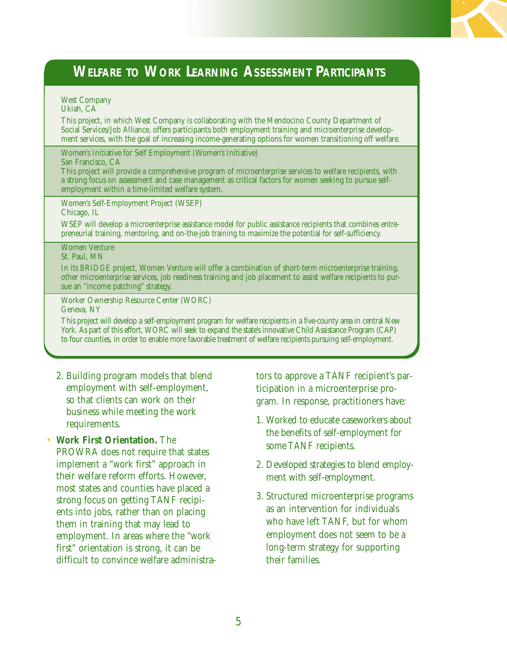# **WELFARE TO WORK LEARNING ASSESSMENT PARTICIPANTS**

#### West Company Ukiah, CA

This project, in which West Company is collaborating with the Mendocino County Department of Social Services/Job Alliance, offers participants both employment training and microenterprise development services, with the goal of increasing income-generating options for women transitioning off welfare.

Women's Initiative for Self Employment (Women's Initiative)

#### San Francisco, CA

This project will provide a comprehensive program of microenterprise services to welfare recipients, with a strong focus on assessment and case management as critical factors for women seeking to pursue selfemployment within a time-limited welfare system.

Women's Self-Employment Project (WSEP) Chicago, IL

WSEP will develop a microenterprise assistance model for public assistance recipients that combines entrepreneurial training, mentoring, and on-the-job training to maximize the potential for self-sufficiency.

Women Venture St. Paul, MN

In its BRIDGE project, Women Venture will offer a combination of short-term microenterprise training, other microenterprise services, job readiness training and job placement to assist welfare recipients to pursue an "income patching" strategy.

Worker Ownership Resource Center (WORC) Geneva, NY

This project will develop a self-employment program for welfare recipients in a five-county area in central New York. As part of this effort, WORC will seek to expand the state's innovative Child Assistance Program (CAP) to four counties, in order to enable more favorable treatment of welfare recipients pursuing self-employment.

- 2. Building program models that blend employment with self-employment, so that clients can work on their business while meeting the work requirements.
- **Work First Orientation.** The PROWRA does not require that states implement a "work first" approach in their welfare reform efforts. However, most states and counties have placed a strong focus on getting TANF recipients into jobs, rather than on placing them in training that may lead to employment. In areas where the "work first" orientation is strong, it can be difficult to convince welfare administra-

tors to approve a TANF recipient's participation in a microenterprise program. In response, practitioners have:

- 1. Worked to educate caseworkers about the benefits of self-employment for some TANF recipients.
- 2. Developed strategies to blend employment with self-employment.
- 3. Structured microenterprise programs as an intervention for individuals who have left TANF, but for whom employment does not seem to be a long-term strategy for supporting their families.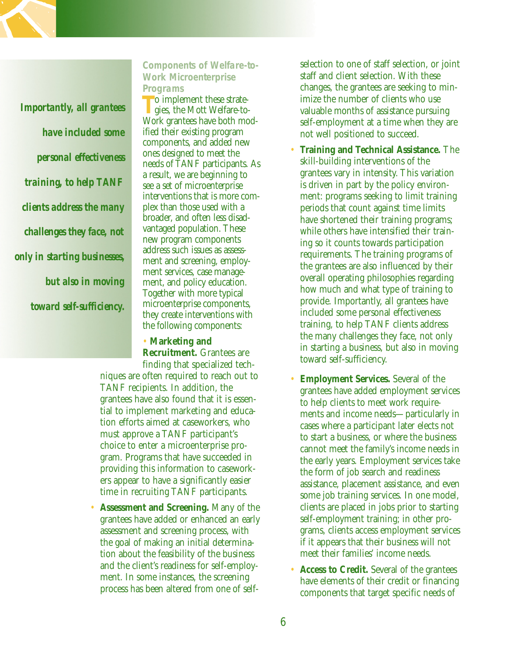*Importantly, all grantees have included some personal effectiveness training, to help TANF clients address the many challenges they face, not only in starting businesses, but also in moving toward self-sufficiency.*

### **Components of Welfare-to-Work Microenterprise Programs**

**T** o implement these strategies, the Mott Welfare-to-Work grantees have both modified their existing program components, and added new ones designed to meet the needs of TANF participants. As a result, we are beginning to see a set of microenterprise interventions that is more complex than those used with a broader, and often less disadvantaged population. These new program components address such issues as assessment and screening, employment services, case management, and policy education. Together with more typical microenterprise components, they create interventions with the following components:

#### • **Marketing and**

**Recruitment.** Grantees are finding that specialized tech-

niques are often required to reach out to TANF recipients. In addition, the grantees have also found that it is essential to implement marketing and education efforts aimed at caseworkers, who must approve a TANF participant's choice to enter a microenterprise program. Programs that have succeeded in providing this information to caseworkers appear to have a significantly easier time in recruiting TANF participants.

• **Assessment and Screening.** Many of the grantees have added or enhanced an early assessment and screening process, with the goal of making an initial determination about the feasibility of the business and the client's readiness for self-employment. In some instances, the screening process has been altered from one of selfselection to one of staff selection, or joint staff and client selection. With these changes, the grantees are seeking to minimize the number of clients who use valuable months of assistance pursuing self-employment at a time when they are not well positioned to succeed.

- **Training and Technical Assistance.** The skill-building interventions of the grantees vary in intensity. This variation is driven in part by the policy environment: programs seeking to limit training periods that count against time limits have shortened their training programs; while others have intensified their training so it counts towards participation requirements. The training programs of the grantees are also influenced by their overall operating philosophies regarding how much and what type of training to provide. Importantly, all grantees have included some personal effectiveness training, to help TANF clients address the many challenges they face, not only in starting a business, but also in moving toward self-sufficiency.
- **Employment Services.** Several of the grantees have added employment services to help clients to meet work requirements and income needs—particularly in cases where a participant later elects not to start a business, or where the business cannot meet the family's income needs in the early years. Employment services take the form of job search and readiness assistance, placement assistance, and even some job training services. In one model, clients are placed in jobs prior to starting self-employment training; in other programs, clients access employment services if it appears that their business will not meet their families' income needs.
- **Access to Credit.** Several of the grantees have elements of their credit or financing components that target specific needs of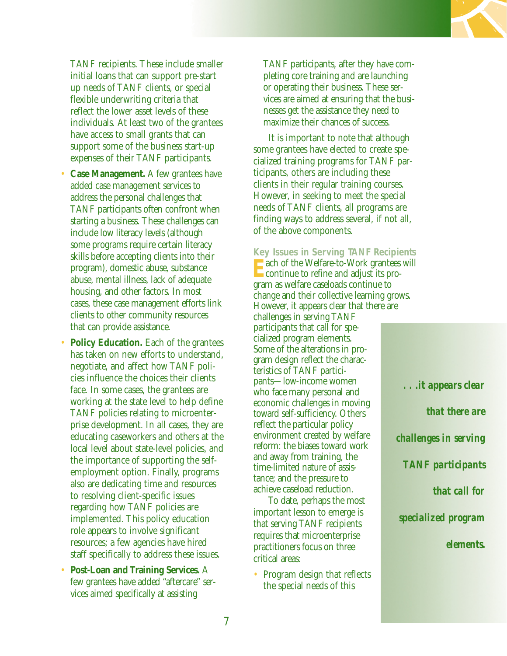

TANF recipients. These include smaller initial loans that can support pre-start up needs of TANF clients, or special flexible underwriting criteria that reflect the lower asset levels of these individuals. At least two of the grantees have access to small grants that can support some of the business start-up expenses of their TANF participants.

- **Case Management.** A few grantees have added case management services to address the personal challenges that TANF participants often confront when starting a business. These challenges can include low literacy levels (although some programs require certain literacy skills before accepting clients into their program), domestic abuse, substance abuse, mental illness, lack of adequate housing, and other factors. In most cases, these case management efforts link clients to other community resources that can provide assistance.
- **Policy Education.** Each of the grantees has taken on new efforts to understand, negotiate, and affect how TANF policies influence the choices their clients face. In some cases, the grantees are working at the state level to help define TANF policies relating to microenterprise development. In all cases, they are educating caseworkers and others at the local level about state-level policies, and the importance of supporting the selfemployment option. Finally, programs also are dedicating time and resources to resolving client-specific issues regarding how TANF policies are implemented. This policy education role appears to involve significant resources; a few agencies have hired staff specifically to address these issues.
- **Post-Loan and Training Services.** A few grantees have added "aftercare" services aimed specifically at assisting

TANF participants, after they have completing core training and are launching or operating their business. These services are aimed at ensuring that the businesses get the assistance they need to maximize their chances of success.

It is important to note that although some grantees have elected to create specialized training programs for TANF participants, others are including these clients in their regular training courses. However, in seeking to meet the special needs of TANF clients, all programs are finding ways to address several, if not all, of the above components.

**Key Issues in Serving TANF Recipients**

ach of the Welfare-to-Work grantees will continue to refine and adjust its program as welfare caseloads continue to change and their collective learning grows. However, it appears clear that there are

challenges in serving TANF participants that call for specialized program elements. Some of the alterations in program design reflect the characteristics of TANF participants—low-income women who face many personal and economic challenges in moving toward self-sufficiency. Others reflect the particular policy environment created by welfare reform: the biases toward work and away from training, the time-limited nature of assistance; and the pressure to achieve caseload reduction.

To date, perhaps the most important lesson to emerge is that serving TANF recipients requires that microenterprise practitioners focus on three critical areas:

• Program design that reflects the special needs of this

*. . .it appears clear that there are challenges in serving TANF participants that call for specialized program elements.*